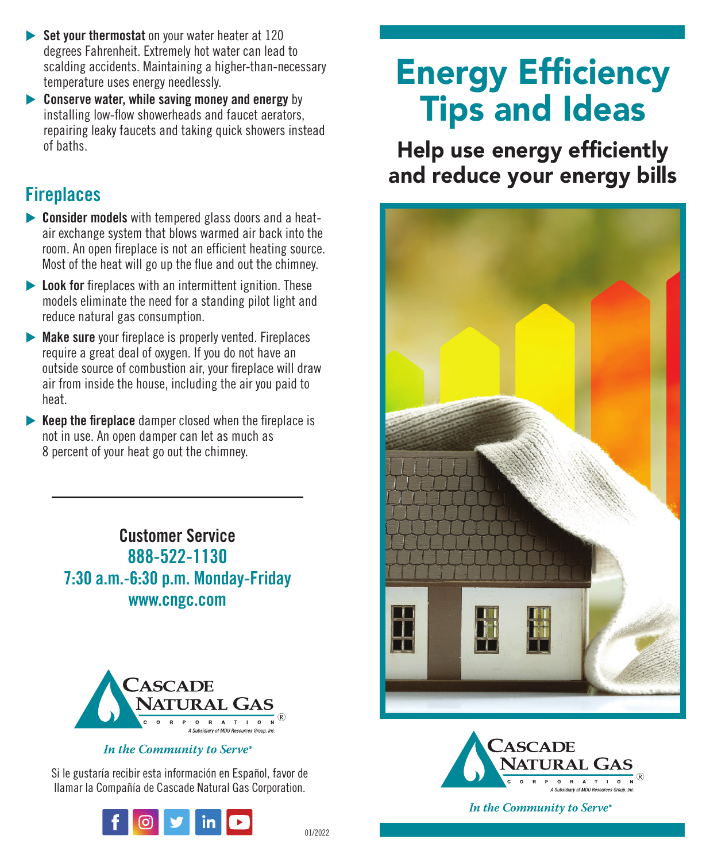- **Set your thermostat** on your water heater at 120 degrees Fahrenheit. Extremely hot water can lead to scalding accidents. Maintaining a higher-than-necessary temperature uses energy needlessly.
- **Conserve water, while saving money and energy** by installing low-flow showerheads and faucet aerators, repairing leaky faucets and taking quick showers instead of baths.

## **Fireplaces**

- **Consider models** with tempered glass doors and a heatair exchange system that blows warmed air back into the room. An open fireplace is not an efficient heating source. Most of the heat will go up the flue and out the chimney.
- **Look for** fireplaces with an intermittent ignition. These models eliminate the need for a standing pilot light and reduce natural gas consumption.
- **Make sure** your fireplace is properly vented. Fireplaces require a great deal of oxygen. If you do not have an outside source of combustion air, your fireplace will draw air from inside the house, including the air you paid to heat.
- **Keep the fireplace** damper closed when the fireplace is not in use. An open damper can let as much as 8 percent of your heat go out the chimney.

**Customer Service 888-522-1130 7:30 a.m.-6:30 p.m. Monday-Friday www.cngc.com**



#### In the Community to Serve®

Si le gustaría recibir esta información en Español, favor de llamar la Compañía de Cascade Natural Gas Corporation.



# Energy Efficiency Tips and Ideas

Help use energy efficiently and reduce your energy bills





In the Community to Serve®